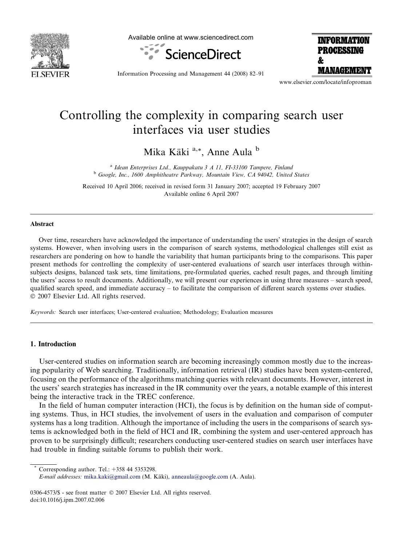

Available online at www.sciencedirect.com



**INFORMATION PROCESSING** f. **MANAGEMENT** 

Information Processing and Management 44 (2008) 82–91

www.elsevier.com/locate/infoproman

# Controlling the complexity in comparing search user interfaces via user studies

Mika Käki<sup>a,\*</sup>, Anne Aula <sup>b</sup>

<sup>a</sup> Idean Enterprises Ltd., Kauppakatu 3 A 11, FI-33100 Tampere, Finland <sup>b</sup> Google, Inc., 1600 Amphitheatre Parkway, Mountain View, CA 94042, United States

Received 10 April 2006; received in revised form 31 January 2007; accepted 19 February 2007 Available online 6 April 2007

#### Abstract

Over time, researchers have acknowledged the importance of understanding the users' strategies in the design of search systems. However, when involving users in the comparison of search systems, methodological challenges still exist as researchers are pondering on how to handle the variability that human participants bring to the comparisons. This paper present methods for controlling the complexity of user-centered evaluations of search user interfaces through withinsubjects designs, balanced task sets, time limitations, pre-formulated queries, cached result pages, and through limiting the users' access to result documents. Additionally, we will present our experiences in using three measures – search speed, qualified search speed, and immediate accuracy – to facilitate the comparison of different search systems over studies. © 2007 Elsevier Ltd. All rights reserved.

Keywords: Search user interfaces; User-centered evaluation; Methodology; Evaluation measures

#### 1. Introduction

User-centered studies on information search are becoming increasingly common mostly due to the increasing popularity of Web searching. Traditionally, information retrieval (IR) studies have been system-centered, focusing on the performance of the algorithms matching queries with relevant documents. However, interest in the users' search strategies has increased in the IR community over the years, a notable example of this interest being the interactive track in the TREC conference.

In the field of human computer interaction (HCI), the focus is by definition on the human side of computing systems. Thus, in HCI studies, the involvement of users in the evaluation and comparison of computer systems has a long tradition. Although the importance of including the users in the comparisons of search systems is acknowledged both in the field of HCI and IR, combining the system and user-centered approach has proven to be surprisingly difficult; researchers conducting user-centered studies on search user interfaces have had trouble in finding suitable forums to publish their work.

Corresponding author. Tel.:  $+358$  44 5353298.

0306-4573/\$ - see front matter © 2007 Elsevier Ltd. All rights reserved. doi:10.1016/j.ipm.2007.02.006

E-mail addresses: [mika.kaki@gmail.com](mailto:mika.kaki@gmail.com) (M. Käki), [anneaula@google.com](mailto:anneaula@google.com) (A. Aula).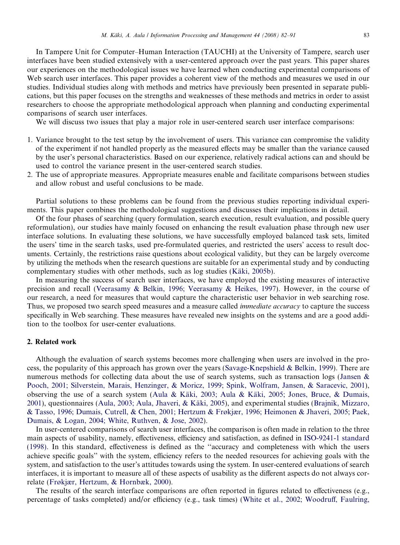In Tampere Unit for Computer–Human Interaction (TAUCHI) at the University of Tampere, search user interfaces have been studied extensively with a user-centered approach over the past years. This paper shares our experiences on the methodological issues we have learned when conducting experimental comparisons of Web search user interfaces. This paper provides a coherent view of the methods and measures we used in our studies. Individual studies along with methods and metrics have previously been presented in separate publications, but this paper focuses on the strengths and weaknesses of these methods and metrics in order to assist researchers to choose the appropriate methodological approach when planning and conducting experimental comparisons of search user interfaces.

We will discuss two issues that play a major role in user-centered search user interface comparisons:

- 1. Variance brought to the test setup by the involvement of users. This variance can compromise the validity of the experiment if not handled properly as the measured effects may be smaller than the variance caused by the user's personal characteristics. Based on our experience, relatively radical actions can and should be used to control the variance present in the user-centered search studies.
- 2. The use of appropriate measures. Appropriate measures enable and facilitate comparisons between studies and allow robust and useful conclusions to be made.

Partial solutions to these problems can be found from the previous studies reporting individual experiments. This paper combines the methodological suggestions and discusses their implications in detail.

Of the four phases of searching (query formulation, search execution, result evaluation, and possible query reformulation), our studies have mainly focused on enhancing the result evaluation phase through new user interface solutions. In evaluating these solutions, we have successfully employed balanced task sets, limited the users' time in the search tasks, used pre-formulated queries, and restricted the users' access to result documents. Certainly, the restrictions raise questions about ecological validity, but they can be largely overcome by utilizing the methods when the research questions are suitable for an experimental study and by conducting complementary studies with other methods, such as log studies (Käki, 2005b).

In measuring the success of search user interfaces, we have employed the existing measures of interactive precision and recall ([Veerasamy & Belkin, 1996; Veerasamy & Heikes, 1997\)](#page-9-0). However, in the course of our research, a need for measures that would capture the characteristic user behavior in web searching rose. Thus, we proposed two search speed measures and a measure called *immediate accuracy* to capture the success specifically in Web searching. These measures have revealed new insights on the systems and are a good addition to the toolbox for user-center evaluations.

# 2. Related work

Although the evaluation of search systems becomes more challenging when users are involved in the process, the popularity of this approach has grown over the years [\(Savage-Knepshield & Belkin, 1999\)](#page-8-0). There are numerous methods for collecting data about the use of search systems, such as transaction logs [\(Jansen &](#page-8-0) [Pooch, 2001; Silverstein, Marais, Henzinger, & Moricz, 1999; Spink, Wolfram, Jansen, & Saracevic, 2001](#page-8-0)), observing the use of a search system (Aula & Käki, 2003; Aula & Käki, 2005; Jones, Bruce, & Dumais, [2001\)](#page-8-0), questionnaires (Aula, 2003; Aula, Jhaveri, & Käki, 2005), and experimental studies [\(Brajnik, Mizzaro,](#page-8-0) [& Tasso, 1996; Dumais, Cutrell, & Chen, 2001; Hertzum & Frøkjær, 1996; Heimonen & Jhaveri, 2005; Paek,](#page-8-0) [Dumais, & Logan, 2004; White, Ruthven, & Jose, 2002\)](#page-8-0).

In user-centered comparisons of search user interfaces, the comparison is often made in relation to the three main aspects of usability, namely, effectiveness, efficiency and satisfaction, as defined in [ISO-9241-1 standard](#page-8-0) [\(1998\)](#page-8-0). In this standard, effectiveness is defined as the ''accuracy and completeness with which the users achieve specific goals'' with the system, efficiency refers to the needed resources for achieving goals with the system, and satisfaction to the user's attitudes towards using the system. In user-centered evaluations of search interfaces, it is important to measure all of these aspects of usability as the different aspects do not always correlate [\(Frøkjær, Hertzum, & Hornbæk, 2000](#page-8-0)).

The results of the search interface comparisons are often reported in figures related to effectiveness (e.g., percentage of tasks completed) and/or efficiency (e.g., task times) ([White et al., 2002; Woodruff, Faulring,](#page-9-0)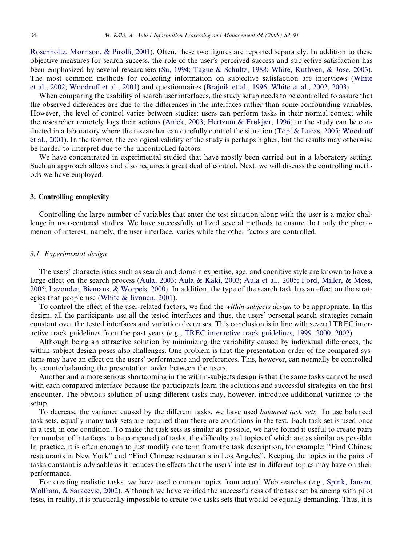[Rosenholtz, Morrison, & Pirolli, 2001](#page-9-0)). Often, these two figures are reported separately. In addition to these objective measures for search success, the role of the user's perceived success and subjective satisfaction has been emphasized by several researchers ([Su, 1994; Tague & Schultz, 1988; White, Ruthven, & Jose, 2003](#page-8-0)). The most common methods for collecting information on subjective satisfaction are interviews ([White](#page-9-0) [et al., 2002; Woodruff et al., 2001\)](#page-9-0) and questionnaires ([Brajnik et al., 1996; White et al., 2002, 2003\)](#page-8-0).

When comparing the usability of search user interfaces, the study setup needs to be controlled to assure that the observed differences are due to the differences in the interfaces rather than some confounding variables. However, the level of control varies between studies: users can perform tasks in their normal context while the researcher remotely logs their actions ([Anick, 2003; Hertzum & Frøkjær, 1996](#page-8-0)) or the study can be conducted in a laboratory where the researcher can carefully control the situation [\(Topi & Lucas, 2005; Woodruff](#page-9-0) [et al., 2001](#page-9-0)). In the former, the ecological validity of the study is perhaps higher, but the results may otherwise be harder to interpret due to the uncontrolled factors.

We have concentrated in experimental studied that have mostly been carried out in a laboratory setting. Such an approach allows and also requires a great deal of control. Next, we will discuss the controlling methods we have employed.

# 3. Controlling complexity

Controlling the large number of variables that enter the test situation along with the user is a major challenge in user-centered studies. We have successfully utilized several methods to ensure that only the phenomenon of interest, namely, the user interface, varies while the other factors are controlled.

#### 3.1. Experimental design

The users' characteristics such as search and domain expertise, age, and cognitive style are known to have a large effect on the search process (Aula, 2003; Aula & Käki, 2003; Aula et al., 2005; Ford, Miller, & Moss, [2005; Lazonder, Biemans, & Worpeis, 2000](#page-8-0)). In addition, the type of the search task has an effect on the strategies that people use ([White & Iivonen, 2001\)](#page-9-0).

To control the effect of the user-related factors, we find the *within-subjects design* to be appropriate. In this design, all the participants use all the tested interfaces and thus, the users' personal search strategies remain constant over the tested interfaces and variation decreases. This conclusion is in line with several TREC interactive track guidelines from the past years (e.g., [TREC interactive track guidelines, 1999, 2000, 2002](#page-9-0)).

Although being an attractive solution by minimizing the variability caused by individual differences, the within-subject design poses also challenges. One problem is that the presentation order of the compared systems may have an effect on the users' performance and preferences. This, however, can normally be controlled by counterbalancing the presentation order between the users.

Another and a more serious shortcoming in the within-subjects design is that the same tasks cannot be used with each compared interface because the participants learn the solutions and successful strategies on the first encounter. The obvious solution of using different tasks may, however, introduce additional variance to the setup.

To decrease the variance caused by the different tasks, we have used *balanced task sets*. To use balanced task sets, equally many task sets are required than there are conditions in the test. Each task set is used once in a test, in one condition. To make the task sets as similar as possible, we have found it useful to create pairs (or number of interfaces to be compared) of tasks, the difficulty and topics of which are as similar as possible. In practice, it is often enough to just modify one term from the task description, for example: ''Find Chinese restaurants in New York'' and ''Find Chinese restaurants in Los Angeles''. Keeping the topics in the pairs of tasks constant is advisable as it reduces the effects that the users' interest in different topics may have on their performance.

For creating realistic tasks, we have used common topics from actual Web searches (e.g., [Spink, Jansen,](#page-8-0) [Wolfram, & Saracevic, 2002\)](#page-8-0). Although we have verified the successfulness of the task set balancing with pilot tests, in reality, it is practically impossible to create two tasks sets that would be equally demanding. Thus, it is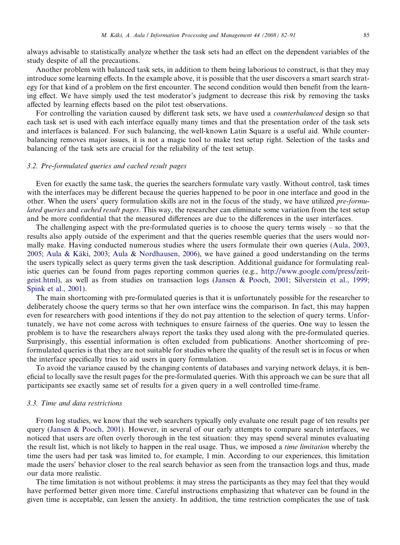always advisable to statistically analyze whether the task sets had an effect on the dependent variables of the study despite of all the precautions.

Another problem with balanced task sets, in addition to them being laborious to construct, is that they may introduce some learning effects. In the example above, it is possible that the user discovers a smart search strategy for that kind of a problem on the first encounter. The second condition would then benefit from the learning effect. We have simply used the test moderator's judgment to decrease this risk by removing the tasks affected by learning effects based on the pilot test observations.

For controlling the variation caused by different task sets, we have used a *counterbalanced* design so that each task set is used with each interface equally many times and that the presentation order of the task sets and interfaces is balanced. For such balancing, the well-known Latin Square is a useful aid. While counterbalancing removes major issues, it is not a magic tool to make test setup right. Selection of the tasks and balancing of the task sets are crucial for the reliability of the test setup.

#### 3.2. Pre-formulated queries and cached result pages

Even for exactly the same task, the queries the searchers formulate vary vastly. Without control, task times with the interfaces may be different because the queries happened to be poor in one interface and good in the other. When the users' query formulation skills are not in the focus of the study, we have utilized pre-formulated queries and cached result pages. This way, the researcher can eliminate some variation from the test setup and be more confidential that the measured differences are due to the differences in the user interfaces.

The challenging aspect with the pre-formulated queries is to choose the query terms wisely  $-$  so that the results also apply outside of the experiment and that the queries resemble queries that the users would normally make. Having conducted numerous studies where the users formulate their own queries [\(Aula, 2003,](#page-8-0) 2005; Aula & Käki, 2003; Aula & Nordhausen, 2006), we have gained a good understanding on the terms the users typically select as query terms given the task description. Additional guidance for formulating realistic queries can be found from pages reporting common queries (e.g., [http://www.google.com/press/zeit](http://www.google.com/press/zeitgeist.html)[geist.html\)](http://www.google.com/press/zeitgeist.html), as well as from studies on transaction logs ([Jansen & Pooch, 2001; Silverstein et al., 1999;](#page-8-0) [Spink et al., 2001](#page-8-0)).

The main shortcoming with pre-formulated queries is that it is unfortunately possible for the researcher to deliberately choose the query terms so that her own interface wins the comparison. In fact, this may happen even for researchers with good intentions if they do not pay attention to the selection of query terms. Unfortunately, we have not come across with techniques to ensure fairness of the queries. One way to lessen the problem is to have the researchers always report the tasks they used along with the pre-formulated queries. Surprisingly, this essential information is often excluded from publications. Another shortcoming of preformulated queries is that they are not suitable for studies where the quality of the result set is in focus or when the interface specifically tries to aid users in query formulation.

To avoid the variance caused by the changing contents of databases and varying network delays, it is beneficial to locally save the result pages for the pre-formulated queries. With this approach we can be sure that all participants see exactly same set of results for a given query in a well controlled time-frame.

# 3.3. Time and data restrictions

From log studies, we know that the web searchers typically only evaluate one result page of ten results per query [\(Jansen & Pooch, 2001](#page-8-0)). However, in several of our early attempts to compare search interfaces, we noticed that users are often overly thorough in the test situation: they may spend several minutes evaluating the result list, which is not likely to happen in the real usage. Thus, we imposed a time limitation whereby the time the users had per task was limited to, for example, 1 min. According to our experiences, this limitation made the users' behavior closer to the real search behavior as seen from the transaction logs and thus, made our data more realistic.

The time limitation is not without problems: it may stress the participants as they may feel that they would have performed better given more time. Careful instructions emphasizing that whatever can be found in the given time is acceptable, can lessen the anxiety. In addition, the time restriction complicates the use of task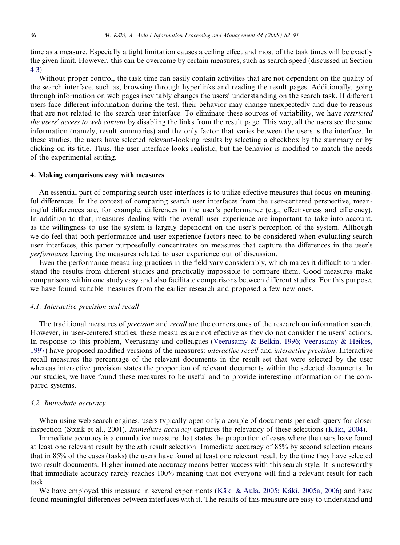time as a measure. Especially a tight limitation causes a ceiling effect and most of the task times will be exactly the given limit. However, this can be overcame by certain measures, such as search speed (discussed in Section [4.3\)](#page-5-0).

Without proper control, the task time can easily contain activities that are not dependent on the quality of the search interface, such as, browsing through hyperlinks and reading the result pages. Additionally, going through information on web pages inevitably changes the users' understanding on the search task. If different users face different information during the test, their behavior may change unexpectedly and due to reasons that are not related to the search user interface. To eliminate these sources of variability, we have restricted the users' access to web content by disabling the links from the result page. This way, all the users see the same information (namely, result summaries) and the only factor that varies between the users is the interface. In these studies, the users have selected relevant-looking results by selecting a checkbox by the summary or by clicking on its title. Thus, the user interface looks realistic, but the behavior is modified to match the needs of the experimental setting.

# 4. Making comparisons easy with measures

An essential part of comparing search user interfaces is to utilize effective measures that focus on meaningful differences. In the context of comparing search user interfaces from the user-centered perspective, meaningful differences are, for example, differences in the user's performance (e.g., effectiveness and efficiency). In addition to that, measures dealing with the overall user experience are important to take into account, as the willingness to use the system is largely dependent on the user's perception of the system. Although we do feel that both performance and user experience factors need to be considered when evaluating search user interfaces, this paper purposefully concentrates on measures that capture the differences in the user's performance leaving the measures related to user experience out of discussion.

Even the performance measuring practices in the field vary considerably, which makes it difficult to understand the results from different studies and practically impossible to compare them. Good measures make comparisons within one study easy and also facilitate comparisons between different studies. For this purpose, we have found suitable measures from the earlier research and proposed a few new ones.

## 4.1. Interactive precision and recall

The traditional measures of precision and recall are the cornerstones of the research on information search. However, in user-centered studies, these measures are not effective as they do not consider the users' actions. In response to this problem, Veerasamy and colleagues ([Veerasamy & Belkin, 1996; Veerasamy & Heikes,](#page-9-0) [1997](#page-9-0)) have proposed modified versions of the measures: *interactive recall* and *interactive precision*. Interactive recall measures the percentage of the relevant documents in the result set that were selected by the user whereas interactive precision states the proportion of relevant documents within the selected documents. In our studies, we have found these measures to be useful and to provide interesting information on the compared systems.

#### 4.2. Immediate accuracy

When using web search engines, users typically open only a couple of documents per each query for closer inspection (Spink et al., 2001). *Immediate accuracy* captures the relevancy of these selections (Käki, 2004).

Immediate accuracy is a cumulative measure that states the proportion of cases where the users have found at least one relevant result by the nth result selection. Immediate accuracy of 85% by second selection means that in 85% of the cases (tasks) the users have found at least one relevant result by the time they have selected two result documents. Higher immediate accuracy means better success with this search style. It is noteworthy that immediate accuracy rarely reaches 100% meaning that not everyone will find a relevant result for each task.

We have employed this measure in several experiments (Käki & Aula, 2005; Käki, 2005a, 2006) and have found meaningful differences between interfaces with it. The results of this measure are easy to understand and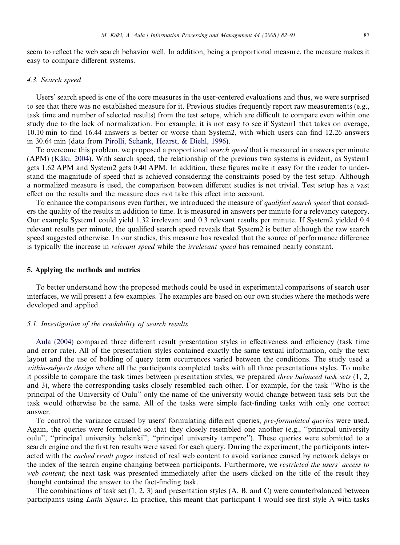<span id="page-5-0"></span>seem to reflect the web search behavior well. In addition, being a proportional measure, the measure makes it easy to compare different systems.

# 4.3. Search speed

Users' search speed is one of the core measures in the user-centered evaluations and thus, we were surprised to see that there was no established measure for it. Previous studies frequently report raw measurements (e.g., task time and number of selected results) from the test setups, which are difficult to compare even within one study due to the lack of normalization. For example, it is not easy to see if System1 that takes on average, 10.10 min to find 16.44 answers is better or worse than System2, with which users can find 12.26 answers in 30.64 min (data from [Pirolli, Schank, Hearst, & Diehl, 1996\)](#page-8-0).

To overcome this problem, we proposed a proportional *search speed* that is measured in answers per minute (APM) (Käki, 2004). With search speed, the relationship of the previous two systems is evident, as System1 gets 1.62 APM and System2 gets 0.40 APM. In addition, these figures make it easy for the reader to understand the magnitude of speed that is achieved considering the constraints posed by the test setup. Although a normalized measure is used, the comparison between different studies is not trivial. Test setup has a vast effect on the results and the measure does not take this effect into account.

To enhance the comparisons even further, we introduced the measure of *qualified search speed* that considers the quality of the results in addition to time. It is measured in answers per minute for a relevancy category. Our example System1 could yield 1.32 irrelevant and 0.3 relevant results per minute. If System2 yielded 0.4 relevant results per minute, the qualified search speed reveals that System2 is better although the raw search speed suggested otherwise. In our studies, this measure has revealed that the source of performance difference is typically the increase in *relevant speed* while the *irrelevant speed* has remained nearly constant.

#### 5. Applying the methods and metrics

To better understand how the proposed methods could be used in experimental comparisons of search user interfaces, we will present a few examples. The examples are based on our own studies where the methods were developed and applied.

## 5.1. Investigation of the readability of search results

[Aula \(2004\)](#page-8-0) compared three different result presentation styles in effectiveness and efficiency (task time and error rate). All of the presentation styles contained exactly the same textual information, only the text layout and the use of bolding of query term occurrences varied between the conditions. The study used a within-subjects design where all the participants completed tasks with all three presentations styles. To make it possible to compare the task times between presentation styles, we prepared three balanced task sets (1, 2, and 3), where the corresponding tasks closely resembled each other. For example, for the task ''Who is the principal of the University of Oulu'' only the name of the university would change between task sets but the task would otherwise be the same. All of the tasks were simple fact-finding tasks with only one correct answer.

To control the variance caused by users' formulating different queries, *pre-formulated queries* were used. Again, the queries were formulated so that they closely resembled one another (e.g., ''principal university oulu'', ''principal university helsinki'', ''principal university tampere''). These queries were submitted to a search engine and the first ten results were saved for each query. During the experiment, the participants interacted with the cached result pages instead of real web content to avoid variance caused by network delays or the index of the search engine changing between participants. Furthermore, we restricted the users' access to web content; the next task was presented immediately after the users clicked on the title of the result they thought contained the answer to the fact-finding task.

The combinations of task set  $(1, 2, 3)$  and presentation styles  $(A, B, and C)$  were counterbalanced between participants using Latin Square. In practice, this meant that participant 1 would see first style A with tasks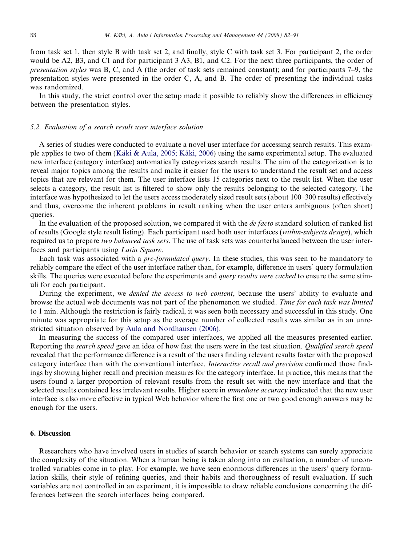from task set 1, then style B with task set 2, and finally, style C with task set 3. For participant 2, the order would be A2, B3, and C1 and for participant 3 A3, B1, and C2. For the next three participants, the order of presentation styles was B, C, and A (the order of task sets remained constant); and for participants 7–9, the presentation styles were presented in the order C, A, and B. The order of presenting the individual tasks was randomized.

In this study, the strict control over the setup made it possible to reliably show the differences in efficiency between the presentation styles.

# 5.2. Evaluation of a search result user interface solution

A series of studies were conducted to evaluate a novel user interface for accessing search results. This example applies to two of them (Käki & Aula, 2005; Käki, 2006) using the same experimental setup. The evaluated new interface (category interface) automatically categorizes search results. The aim of the categorization is to reveal major topics among the results and make it easier for the users to understand the result set and access topics that are relevant for them. The user interface lists 15 categories next to the result list. When the user selects a category, the result list is filtered to show only the results belonging to the selected category. The interface was hypothesized to let the users access moderately sized result sets (about 100–300 results) effectively and thus, overcome the inherent problems in result ranking when the user enters ambiguous (often short) queries.

In the evaluation of the proposed solution, we compared it with the *de facto* standard solution of ranked list of results (Google style result listing). Each participant used both user interfaces (within-subjects design), which required us to prepare two balanced task sets. The use of task sets was counterbalanced between the user interfaces and participants using Latin Square.

Each task was associated with a pre-formulated query. In these studies, this was seen to be mandatory to reliably compare the effect of the user interface rather than, for example, difference in users' query formulation skills. The queries were executed before the experiments and *query results were cached* to ensure the same stimuli for each participant.

During the experiment, we *denied the access to web content*, because the users' ability to evaluate and browse the actual web documents was not part of the phenomenon we studied. Time for each task was limited to 1 min. Although the restriction is fairly radical, it was seen both necessary and successful in this study. One minute was appropriate for this setup as the average number of collected results was similar as in an unrestricted situation observed by [Aula and Nordhausen \(2006\).](#page-8-0)

In measuring the success of the compared user interfaces, we applied all the measures presented earlier. Reporting the *search speed* gave an idea of how fast the users were in the test situation. *Qualified search speed* revealed that the performance difference is a result of the users finding relevant results faster with the proposed category interface than with the conventional interface. Interactive recall and precision confirmed those findings by showing higher recall and precision measures for the category interface. In practice, this means that the users found a larger proportion of relevant results from the result set with the new interface and that the selected results contained less irrelevant results. Higher score in *immediate accuracy* indicated that the new user interface is also more effective in typical Web behavior where the first one or two good enough answers may be enough for the users.

# 6. Discussion

Researchers who have involved users in studies of search behavior or search systems can surely appreciate the complexity of the situation. When a human being is taken along into an evaluation, a number of uncontrolled variables come in to play. For example, we have seen enormous differences in the users' query formulation skills, their style of refining queries, and their habits and thoroughness of result evaluation. If such variables are not controlled in an experiment, it is impossible to draw reliable conclusions concerning the differences between the search interfaces being compared.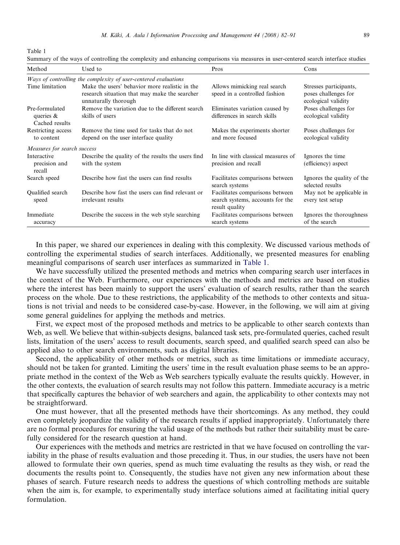Table 1

Summary of the ways of controlling the complexity and enhancing comparisons via measures in user-centered search interface studies

| Method                                           | Used to                                                                                                                 | Pros                                                                                  | Cons                                                                  |
|--------------------------------------------------|-------------------------------------------------------------------------------------------------------------------------|---------------------------------------------------------------------------------------|-----------------------------------------------------------------------|
|                                                  | Ways of controlling the complexity of user-centered evaluations                                                         |                                                                                       |                                                                       |
| Time limitation                                  | Make the users' behavior more realistic in the<br>research situation that may make the searcher<br>unnaturally thorough | Allows mimicking real search<br>speed in a controlled fashion                         | Stresses participants,<br>poses challenges for<br>ecological validity |
| Pre-formulated<br>queries $\&$<br>Cached results | Remove the variation due to the different search<br>skills of users                                                     | Eliminates variation caused by<br>differences in search skills                        | Poses challenges for<br>ecological validity                           |
| Restricting access<br>to content                 | Remove the time used for tasks that do not<br>depend on the user interface quality                                      | Makes the experiments shorter<br>and more focused                                     | Poses challenges for<br>ecological validity                           |
| Measures for search success                      |                                                                                                                         |                                                                                       |                                                                       |
| Interactive<br>precision and<br>recall           | Describe the quality of the results the users find<br>with the system                                                   | In line with classical measures of<br>precision and recall                            | Ignores the time<br>(efficiency) aspect                               |
| Search speed                                     | Describe how fast the users can find results                                                                            | Facilitates comparisons between<br>search systems                                     | Ignores the quality of the<br>selected results                        |
| Qualified search<br>speed                        | Describe how fast the users can find relevant or<br>irrelevant results                                                  | Facilitates comparisons between<br>search systems, accounts for the<br>result quality | May not be applicable in<br>every test setup                          |
| Immediate<br>accuracy                            | Describe the success in the web style searching                                                                         | Facilitates comparisons between<br>search systems                                     | Ignores the thoroughness<br>of the search                             |

In this paper, we shared our experiences in dealing with this complexity. We discussed various methods of controlling the experimental studies of search interfaces. Additionally, we presented measures for enabling meaningful comparisons of search user interfaces as summarized in Table 1.

We have successfully utilized the presented methods and metrics when comparing search user interfaces in the context of the Web. Furthermore, our experiences with the methods and metrics are based on studies where the interest has been mainly to support the users' evaluation of search results, rather than the search process on the whole. Due to these restrictions, the applicability of the methods to other contexts and situations is not trivial and needs to be considered case-by-case. However, in the following, we will aim at giving some general guidelines for applying the methods and metrics.

First, we expect most of the proposed methods and metrics to be applicable to other search contexts than Web, as well. We believe that within-subjects designs, balanced task sets, pre-formulated queries, cached result lists, limitation of the users' access to result documents, search speed, and qualified search speed can also be applied also to other search environments, such as digital libraries.

Second, the applicability of other methods or metrics, such as time limitations or immediate accuracy, should not be taken for granted. Limiting the users' time in the result evaluation phase seems to be an appropriate method in the context of the Web as Web searchers typically evaluate the results quickly. However, in the other contexts, the evaluation of search results may not follow this pattern. Immediate accuracy is a metric that specifically captures the behavior of web searchers and again, the applicability to other contexts may not be straightforward.

One must however, that all the presented methods have their shortcomings. As any method, they could even completely jeopardize the validity of the research results if applied inappropriately. Unfortunately there are no formal procedures for ensuring the valid usage of the methods but rather their suitability must be carefully considered for the research question at hand.

Our experiences with the methods and metrics are restricted in that we have focused on controlling the variability in the phase of results evaluation and those preceding it. Thus, in our studies, the users have not been allowed to formulate their own queries, spend as much time evaluating the results as they wish, or read the documents the results point to. Consequently, the studies have not given any new information about these phases of search. Future research needs to address the questions of which controlling methods are suitable when the aim is, for example, to experimentally study interface solutions aimed at facilitating initial query formulation.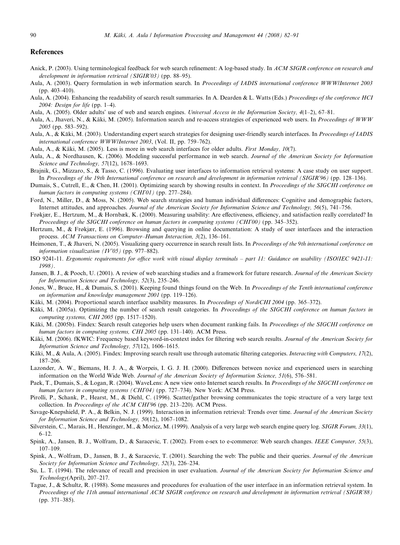## <span id="page-8-0"></span>References

- Anick, P. (2003). Using terminological feedback for web search refinement: A log-based study. In ACM SIGIR conference on research and development in information retrieval (SIGIR'03) (pp. 88–95).
- Aula, A. (2003). Query formulation in web information search. In Proceedings of IADIS international conference WWW/Internet 2003 (pp. 403–410).
- Aula, A. (2004). Enhancing the readability of search result summaries. In A. Dearden & L. Watts (Eds.) Proceedings of the conference HCI 2004: Design for life (pp. 1–4).
- Aula, A. (2005). Older adults' use of web and search engines. Universal Access in the Information Society, 4(1–2), 67–81.
- Aula, A., Jhaveri, N., & Käki, M. (2005). Information search and re-access strategies of experienced web users. In Proceedings of WWW 2005 (pp. 583–592).
- Aula, A., & Käki, M. (2003). Understanding expert search strategies for designing user-friendly search interfaces. In Proceedings of IADIS international conference WWW/Internet 2003, (Vol. II, pp. 759–762).
- Aula, A., & Käki, M. (2005). Less is more in web search interfaces for older adults. First Monday, 10(7).
- Aula, A., & Nordhausen, K. (2006). Modeling successful performance in web search. Journal of the American Society for Information Science and Technology, 57(12), 1678–1693.
- Brajnik, G., Mizzaro, S., & Tasso, C. (1996). Evaluating user interfaces to information retrieval systems: A case study on user support. In Proceedings of the 19th International conference on research and development in information retrieval (SIGIR'96) (pp. 128–136).
- Dumais, S., Cutrell, E., & Chen, H. (2001). Optimizing search by showing results in context. In *Proceedings of the SIGCHI conference on* human factors in computing systems (CHI'01) (pp. 277–284).
- Ford, N., Miller, D., & Moss, N. (2005). Web search strategies and human individual differences: Cognitive and demographic factors, Internet attitudes, and approaches. Journal of the American Society for Information Science and Technology, 56(5), 741–756.
- Frøkjær, E., Hertzum, M., & Hornbæk, K. (2000). Measuring usability: Are effectiveness, efficiency, and satisfaction really correlated? In Proceedings of the SIGCHI conference on human factors in computing systems (CHI'00) (pp. 345–352).
- Hertzum, M., & Frøkjær, E. (1996). Browsing and querying in online documentation: A study of user interfaces and the interaction process. ACM Transactions on Computer–Human Interaction, 3(2), 136–161.
- Heimonen, T., & Jhaveri, N. (2005). Visualizing query occurrence in search result lists. In Proceedings of the 9th international conference on information visualization (IV'05) (pp. 977–882).
- ISO 9241-11. Ergonomic requirements for office work with visual display terminals part 11: Guidance on usability (ISO/IEC 9421-11: 1998).
- Jansen, B. J., & Pooch, U. (2001). A review of web searching studies and a framework for future research. Journal of the American Society for Information Science and Technology, 52(3), 235–246.
- Jones, W., Bruce, H., & Dumais, S. (2001). Keeping found things found on the Web. In Proceedings of the Tenth international conference on information and knowledge management 2001 (pp. 119–126).
- Käki, M. (2004). Proportional search interface usability measures. In *Proceedings of NordiCHI 2004* (pp. 365–372).
- Käki, M. (2005a). Optimizing the number of search result categories. In Proceedings of the SIGCHI conference on human factors in computing systems, CHI 2005 (pp. 1517–1520).
- Käki, M. (2005b). Findex: Search result categories help users when document ranking fails. In Proceedings of the SIGCHI conference on human factors in computing systems, CHI 2005 (pp. 131-140). ACM Press.
- Käki, M. (2006). fKWIC: Frequency based keyword-in-context index for filtering web search results. Journal of the American Society for Information Science and Technology, 57(12), 1606–1615.
- Käki, M., & Aula, A. (2005). Findex: Improving search result use through automatic filtering categories. Interacting with Computers, 17(2), 187–206.
- Lazonder, A. W., Biemans, H. J. A., & Worpeis, I. G. J. H. (2000). Differences between novice and experienced users in searching information on the World Wide Web. Journal of the American Society of Information Science, 51(6), 576–581.
- Paek, T., Dumais, S., & Logan, R. (2004). WaveLens: A new view onto Internet search results. In Proceedings of the SIGCHI conference on human factors in computing systems (CHI'04) (pp. 727-734). New York: ACM Press.
- Pirolli, P., Schank, P., Hearst, M., & Diehl, C. (1996). Scatter/gather browsing communicates the topic structure of a very large text collection. In Proceedings of the ACM CHI'96 (pp. 213–220). ACM Press.
- Savage-Knepshield, P. A., & Belkin, N. J. (1999). Interaction in information retrieval: Trends over time. Journal of the American Society for Information Science and Technology, 50(12), 1067–1082.
- Silverstein, C., Marais, H., Henzinger, M., & Moricz, M. (1999). Analysis of a very large web search engine query log. SIGIR Forum, 33(1), 6–12.
- Spink, A., Jansen, B. J., Wolfram, D., & Saracevic, T. (2002). From e-sex to e-commerce: Web search changes. IEEE Computer, 55(3), 107–109.
- Spink, A., Wolfram, D., Jansen, B. J., & Saracevic, T. (2001). Searching the web: The public and their queries. Journal of the American Society for Information Science and Technology, 52(3), 226–234.
- Su, L. T. (1994). The relevance of recall and precision in user evaluation. Journal of the American Society for Information Science and Technology(April), 207–217.
- Tague, J., & Schultz, R. (1988). Some measures and procedures for evaluation of the user interface in an information retrieval system. In Proceedings of the 11th annual international ACM SIGIR conference on research and development in information retrieval (SIGIR'88) (pp. 371–385).